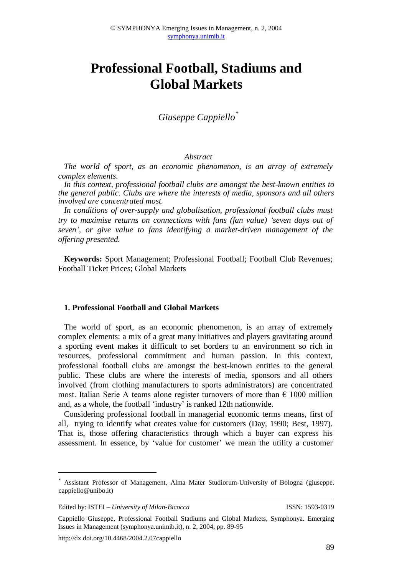# **Professional Football, Stadiums and Global Markets**

*Giuseppe Cappiello\**

## *Abstract*

*The world of sport, as an economic phenomenon, is an array of extremely complex elements.*

*In this context, professional football clubs are amongst the best-known entities to the general public. Clubs are where the interests of media, sponsors and all others involved are concentrated most.*

*In conditions of over-supply and globalisation, professional football clubs must try to maximise returns on connections with fans (fan value) 'seven days out of seven', or give value to fans identifying a market-driven management of the offering presented.*

**Keywords:** Sport Management; Professional Football; Football Club Revenues; Football Ticket Prices; Global Markets

#### **1. Professional Football and Global Markets**

The world of sport, as an economic phenomenon, is an array of extremely complex elements: a mix of a great many initiatives and players gravitating around a sporting event makes it difficult to set borders to an environment so rich in resources, professional commitment and human passion. In this context, professional football clubs are amongst the best-known entities to the general public. These clubs are where the interests of media, sponsors and all others involved (from clothing manufacturers to sports administrators) are concentrated most. Italian Serie A teams alone register turnovers of more than  $\epsilon$  1000 million and, as a whole, the football 'industry' is ranked 12th nationwide.

Considering professional football in managerial economic terms means, first of all, trying to identify what creates value for customers (Day, 1990; Best, 1997). That is, those offering characteristics through which a buyer can express his assessment. In essence, by 'value for customer' we mean the utility a customer

<u>.</u>

<sup>\*</sup> Assistant Professor of Management, Alma Mater Studiorum-University of Bologna (giuseppe. cappiello@unibo.it)

Edited by: ISTEI – *University of Milan-Bicocca* ISSN: 1593-0319

Cappiello Giuseppe, Professional Football Stadiums and Global Markets, Symphonya. Emerging Issues in Management (symphonya.unimib.it), n. 2, 2004, pp. 89-95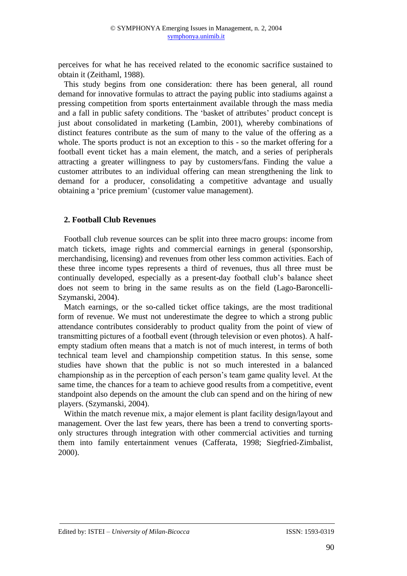perceives for what he has received related to the economic sacrifice sustained to obtain it (Zeithaml, 1988).

This study begins from one consideration: there has been general, all round demand for innovative formulas to attract the paying public into stadiums against a pressing competition from sports entertainment available through the mass media and a fall in public safety conditions. The 'basket of attributes' product concept is just about consolidated in marketing (Lambin, 2001), whereby combinations of distinct features contribute as the sum of many to the value of the offering as a whole. The sports product is not an exception to this - so the market offering for a football event ticket has a main element, the match, and a series of peripherals attracting a greater willingness to pay by customers/fans. Finding the value a customer attributes to an individual offering can mean strengthening the link to demand for a producer, consolidating a competitive advantage and usually obtaining a 'price premium' (customer value management).

### **2. Football Club Revenues**

Football club revenue sources can be split into three macro groups: income from match tickets, image rights and commercial earnings in general (sponsorship, merchandising, licensing) and revenues from other less common activities. Each of these three income types represents a third of revenues, thus all three must be continually developed, especially as a present-day football club's balance sheet does not seem to bring in the same results as on the field (Lago-Baroncelli-Szymanski, 2004).

Match earnings, or the so-called ticket office takings, are the most traditional form of revenue. We must not underestimate the degree to which a strong public attendance contributes considerably to product quality from the point of view of transmitting pictures of a football event (through television or even photos). A halfempty stadium often means that a match is not of much interest, in terms of both technical team level and championship competition status. In this sense, some studies have shown that the public is not so much interested in a balanced championship as in the perception of each person's team game quality level. At the same time, the chances for a team to achieve good results from a competitive, event standpoint also depends on the amount the club can spend and on the hiring of new players. (Szymanski, 2004).

Within the match revenue mix, a major element is plant facility design/layout and management. Over the last few years, there has been a trend to converting sportsonly structures through integration with other commercial activities and turning them into family entertainment venues (Cafferata, 1998; Siegfried-Zimbalist, 2000).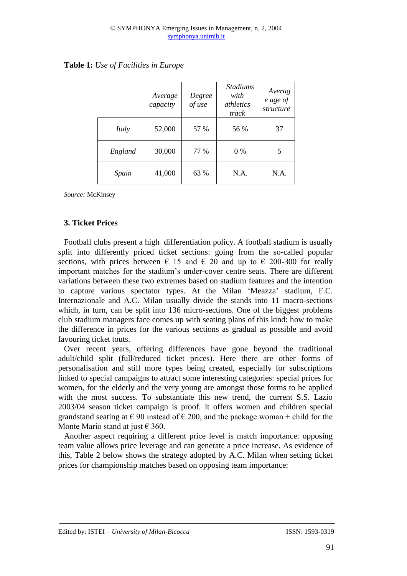|         | Average<br>capacity | Degree<br>of use | <i>Stadiums</i><br>with<br><i>athletics</i><br>track | Averag<br>e age of<br>structure |
|---------|---------------------|------------------|------------------------------------------------------|---------------------------------|
| Italy   | 52,000              | 57 %             | 56 %                                                 | 37                              |
| England | 30,000              | 77 %             | 0 %                                                  | 5                               |
| Spain   | 41,000              | 63 %             | N.A.                                                 | N.A.                            |

## **Table 1:** *Use of Facilities in Europe*

*Source:* McKinsey

## **3. Ticket Prices**

Football clubs present a high differentiation policy. A football stadium is usually split into differently priced ticket sections: going from the so-called popular sections, with prices between  $\epsilon$  15 and  $\epsilon$  20 and up to  $\epsilon$  200-300 for really important matches for the stadium's under-cover centre seats. There are different variations between these two extremes based on stadium features and the intention to capture various spectator types. At the Milan 'Meazza' stadium, F.C. Internazionale and A.C. Milan usually divide the stands into 11 macro-sections which, in turn, can be split into 136 micro-sections. One of the biggest problems club stadium managers face comes up with seating plans of this kind: how to make the difference in prices for the various sections as gradual as possible and avoid favouring ticket touts.

Over recent years, offering differences have gone beyond the traditional adult/child split (full/reduced ticket prices). Here there are other forms of personalisation and still more types being created, especially for subscriptions linked to special campaigns to attract some interesting categories: special prices for women, for the elderly and the very young are amongst those forms to be applied with the most success. To substantiate this new trend, the current S.S. Lazio 2003/04 season ticket campaign is proof. It offers women and children special grandstand seating at  $\epsilon$  90 instead of  $\epsilon$  200, and the package woman + child for the Monte Mario stand at just  $\epsilon$  360.

Another aspect requiring a different price level is match importance: opposing team value allows price leverage and can generate a price increase. As evidence of this, Table 2 below shows the strategy adopted by A.C. Milan when setting ticket prices for championship matches based on opposing team importance: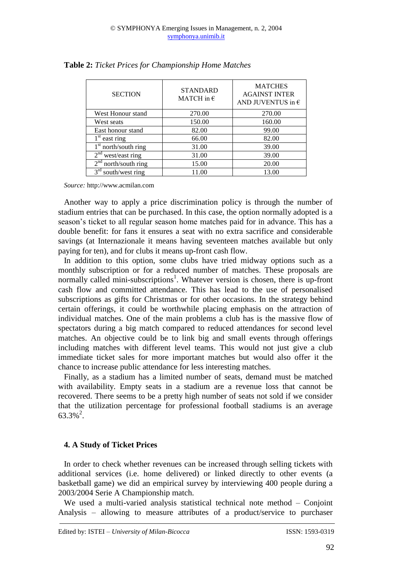| <b>SECTION</b>                     | <b>STANDARD</b><br>MATCH in $\epsilon$ | <b>MATCHES</b><br><b>AGAINST INTER</b><br>AND JUVENTUS in $\epsilon$ |  |  |
|------------------------------------|----------------------------------------|----------------------------------------------------------------------|--|--|
| West Honour stand                  | 270.00                                 | 270.00                                                               |  |  |
| West seats                         | 150.00                                 | 160.00                                                               |  |  |
| East honour stand                  | 82.00                                  | 99.00                                                                |  |  |
| $1st$ east ring                    | 66.00                                  | 82.00                                                                |  |  |
| $1st$ north/south ring             | 31.00                                  | 39.00                                                                |  |  |
| $2nd$ west/east ring               | 31.00                                  | 39.00                                                                |  |  |
| $2nd$ north/south ring             | 15.00                                  | 20.00                                                                |  |  |
| $3^{\text{rd}}$<br>south/west ring | 11.00                                  | 13.00                                                                |  |  |

**Table 2:** *Ticket Prices for Championship Home Matches*

*Source:* http://www.acmilan.com

Another way to apply a price discrimination policy is through the number of stadium entries that can be purchased. In this case, the option normally adopted is a season's ticket to all regular season home matches paid for in advance. This has a double benefit: for fans it ensures a seat with no extra sacrifice and considerable savings (at Internazionale it means having seventeen matches available but only paying for ten), and for clubs it means up-front cash flow.

In addition to this option, some clubs have tried midway options such as a monthly subscription or for a reduced number of matches. These proposals are normally called mini-subscriptions<sup>1</sup>. Whatever version is chosen, there is up-front cash flow and committed attendance. This has lead to the use of personalised subscriptions as gifts for Christmas or for other occasions. In the strategy behind certain offerings, it could be worthwhile placing emphasis on the attraction of individual matches. One of the main problems a club has is the massive flow of spectators during a big match compared to reduced attendances for second level matches. An objective could be to link big and small events through offerings including matches with different level teams. This would not just give a club immediate ticket sales for more important matches but would also offer it the chance to increase public attendance for less interesting matches.

Finally, as a stadium has a limited number of seats, demand must be matched with availability. Empty seats in a stadium are a revenue loss that cannot be recovered. There seems to be a pretty high number of seats not sold if we consider that the utilization percentage for professional football stadiums is an average  $63.3\%$ <sup>2</sup>.

### **4. A Study of Ticket Prices**

In order to check whether revenues can be increased through selling tickets with additional services (i.e. home delivered) or linked directly to other events (a basketball game) we did an empirical survey by interviewing 400 people during a 2003/2004 Serie A Championship match.

We used a multi-varied analysis statistical technical note method – Conjoint Analysis – allowing to measure attributes of a product/service to purchaser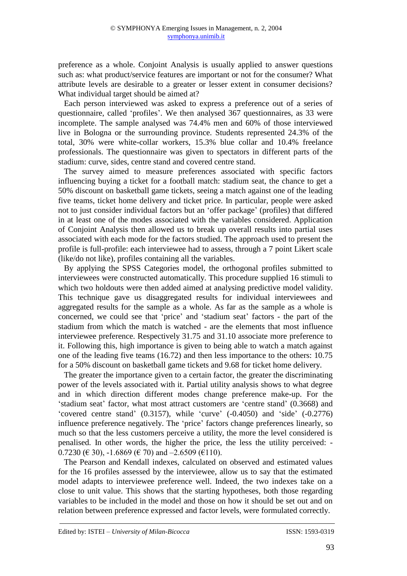preference as a whole. Conjoint Analysis is usually applied to answer questions such as: what product/service features are important or not for the consumer? What attribute levels are desirable to a greater or lesser extent in consumer decisions? What individual target should be aimed at?

Each person interviewed was asked to express a preference out of a series of questionnaire, called 'profiles'. We then analysed 367 questionnaires, as 33 were incomplete. The sample analysed was 74.4% men and 60% of those interviewed live in Bologna or the surrounding province. Students represented 24.3% of the total, 30% were white-collar workers, 15.3% blue collar and 10.4% freelance professionals. The questionnaire was given to spectators in different parts of the stadium: curve, sides, centre stand and covered centre stand.

The survey aimed to measure preferences associated with specific factors influencing buying a ticket for a football match: stadium seat, the chance to get a 50% discount on basketball game tickets, seeing a match against one of the leading five teams, ticket home delivery and ticket price. In particular, people were asked not to just consider individual factors but an 'offer package' (profiles) that differed in at least one of the modes associated with the variables considered. Application of Conjoint Analysis then allowed us to break up overall results into partial uses associated with each mode for the factors studied. The approach used to present the profile is full-profile: each interviewee had to assess, through a 7 point Likert scale (like/do not like), profiles containing all the variables.

By applying the SPSS Categories model, the orthogonal profiles submitted to interviewees were constructed automatically. This procedure supplied 16 stimuli to which two holdouts were then added aimed at analysing predictive model validity. This technique gave us disaggregated results for individual interviewees and aggregated results for the sample as a whole. As far as the sample as a whole is concerned, we could see that 'price' and 'stadium seat' factors - the part of the stadium from which the match is watched - are the elements that most influence interviewee preference. Respectively 31.75 and 31.10 associate more preference to it. Following this, high importance is given to being able to watch a match against one of the leading five teams (16.72) and then less importance to the others: 10.75 for a 50% discount on basketball game tickets and 9.68 for ticket home delivery.

The greater the importance given to a certain factor, the greater the discriminating power of the levels associated with it. Partial utility analysis shows to what degree and in which direction different modes change preference make-up. For the 'stadium seat' factor, what most attract customers are 'centre stand' (0.3668) and 'covered centre stand' (0.3157), while 'curve' (-0.4050) and 'side' (-0.2776) influence preference negatively. The 'price' factors change preferences linearly, so much so that the less customers perceive a utility, the more the level considered is penalised. In other words, the higher the price, the less the utility perceived: - 0.7230 ( $\in$  30), -1.6869 ( $\in$  70) and -2.6509 ( $\in$ 110).

The Pearson and Kendall indexes, calculated on observed and estimated values for the 16 profiles assessed by the interviewee, allow us to say that the estimated model adapts to interviewee preference well. Indeed, the two indexes take on a close to unit value. This shows that the starting hypotheses, both those regarding variables to be included in the model and those on how it should be set out and on relation between preference expressed and factor levels, were formulated correctly.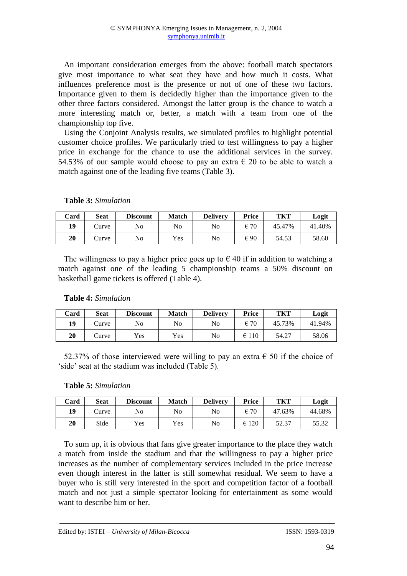An important consideration emerges from the above: football match spectators give most importance to what seat they have and how much it costs. What influences preference most is the presence or not of one of these two factors. Importance given to them is decidedly higher than the importance given to the other three factors considered. Amongst the latter group is the chance to watch a more interesting match or, better, a match with a team from one of the championship top five.

Using the Conjoint Analysis results, we simulated profiles to highlight potential customer choice profiles. We particularly tried to test willingness to pay a higher price in exchange for the chance to use the additional services in the survey. 54.53% of our sample would choose to pay an extra  $\epsilon$  20 to be able to watch a match against one of the leading five teams (Table 3).

| Card | <b>Seat</b>  | <b>Discount</b> | <b>Match</b> | <b>Delivery</b> | <b>Price</b>  | TKT    | Logit  |
|------|--------------|-----------------|--------------|-----------------|---------------|--------|--------|
| 19   | <b>Curve</b> | No              | No           | No              | $\epsilon$ 70 | 45.47% | 41.40% |
| 20   | Curve        | No              | Yes          | No              | € 90          | 54.53  | 58.60  |

### **Table 3:** *Simulation*

The willingness to pay a higher price goes up to  $\epsilon$  40 if in addition to watching a match against one of the leading 5 championship teams a 50% discount on basketball game tickets is offered (Table 4).

# **Table 4:** *Simulation*

| Card | <b>Seat</b>  | <b>Discount</b> | <b>Match</b> | <b>Delivery</b> | <b>Price</b>  | TKT    | Logit  |
|------|--------------|-----------------|--------------|-----------------|---------------|--------|--------|
| 19   | <b>Curve</b> | No              | No           | No              | $\epsilon$ 70 | 45.73% | 41.94% |
| 20   | <b>Curve</b> | Yes             | Yes          | No              | €<br>110      | 54.27  | 58.06  |

52.37% of those interviewed were willing to pay an extra  $\epsilon$  50 if the choice of 'side' seat at the stadium was included (Table 5).

### **Table 5:** *Simulation*

| Card | <b>Seat</b>  | <b>Discount</b> | <b>Match</b> | <b>Delivery</b> | Price         | TKT    | Logit  |
|------|--------------|-----------------|--------------|-----------------|---------------|--------|--------|
| 19   | <b>Curve</b> | No              | No           | No              | $\epsilon$ 70 | 47.63% | 44.68% |
| 20   | Side         | Yes             | Yes          | No              | 120<br>€      | 52.37  | 55.32  |

To sum up, it is obvious that fans give greater importance to the place they watch a match from inside the stadium and that the willingness to pay a higher price increases as the number of complementary services included in the price increase even though interest in the latter is still somewhat residual. We seem to have a buyer who is still very interested in the sport and competition factor of a football match and not just a simple spectator looking for entertainment as some would want to describe him or her.